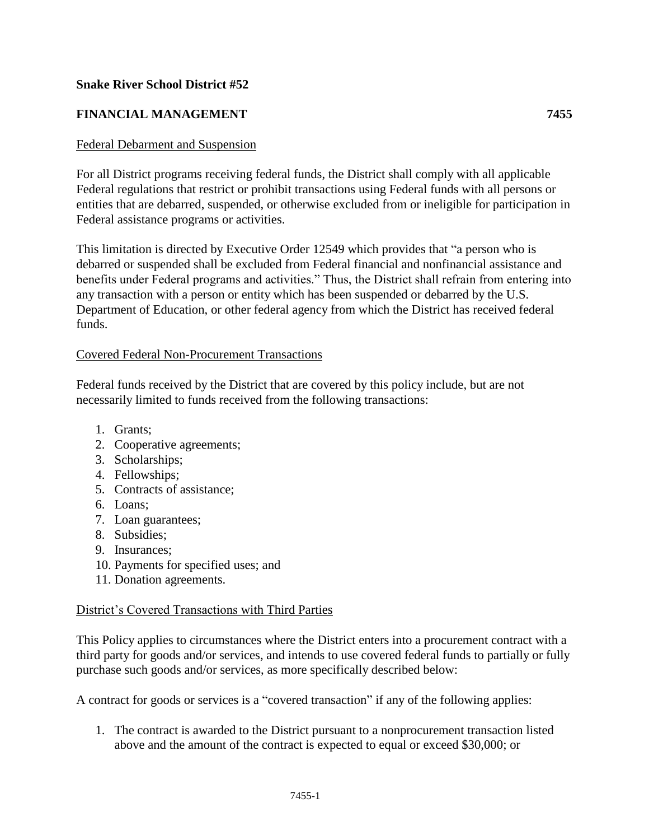## **Snake River School District #52**

# **FINANCIAL MANAGEMENT 7455**

### Federal Debarment and Suspension

For all District programs receiving federal funds, the District shall comply with all applicable Federal regulations that restrict or prohibit transactions using Federal funds with all persons or entities that are debarred, suspended, or otherwise excluded from or ineligible for participation in Federal assistance programs or activities.

This limitation is directed by Executive Order 12549 which provides that "a person who is debarred or suspended shall be excluded from Federal financial and nonfinancial assistance and benefits under Federal programs and activities." Thus, the District shall refrain from entering into any transaction with a person or entity which has been suspended or debarred by the U.S. Department of Education, or other federal agency from which the District has received federal funds.

#### Covered Federal Non-Procurement Transactions

Federal funds received by the District that are covered by this policy include, but are not necessarily limited to funds received from the following transactions:

- 1. Grants;
- 2. Cooperative agreements;
- 3. Scholarships;
- 4. Fellowships;
- 5. Contracts of assistance;
- 6. Loans;
- 7. Loan guarantees;
- 8. Subsidies;
- 9. Insurances;
- 10. Payments for specified uses; and
- 11. Donation agreements.

#### District's Covered Transactions with Third Parties

This Policy applies to circumstances where the District enters into a procurement contract with a third party for goods and/or services, and intends to use covered federal funds to partially or fully purchase such goods and/or services, as more specifically described below:

A contract for goods or services is a "covered transaction" if any of the following applies:

1. The contract is awarded to the District pursuant to a nonprocurement transaction listed above and the amount of the contract is expected to equal or exceed \$30,000; or